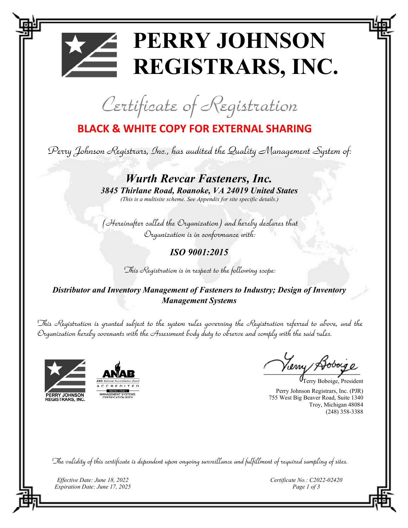## **PERRY JOHNSON REGISTRARS, INC.**

Certificate of Registration

## **BLACK & WHITE COPY FOR EXTERNAL SHARING**

Perry Johnson Registrars, Inc., has audited the Quality Management System of:

*Wurth Revcar Fasteners, Inc. 3845 Thirlane Road, Roanoke, VA 24019 United States (This is a multisite scheme. See Appendix for site specific details.)* 

(Hereinafter called the Organization) and hereby declares that Organization is in conformance with:

*ISO 9001:2015* 

This Registration is in respect to the following scope:

*Distributor and Inventory Management of Fasteners to Industry; Design of Inventory Management Systems*

This Registration is granted subject to the system rules governing the Registration referred to above, and the Organization hereby covenants with the Assessment body duty to observe and comply with the said rules.





Perry Johnson Registrars, Inc. (PJR) 755 West Big Beaver Road, Suite 1340 Troy, Michigan 48084 (248) 358-3388 Terry Boboige, President

The validity of this certificate is dependent upon ongoing surveillance and fulfillment of required sampling of sites.

*Effective Date: June 18, 2022 Expiration Date: June 17, 2025*  *Certificate No.: C2022-02420 Page 1 of 3*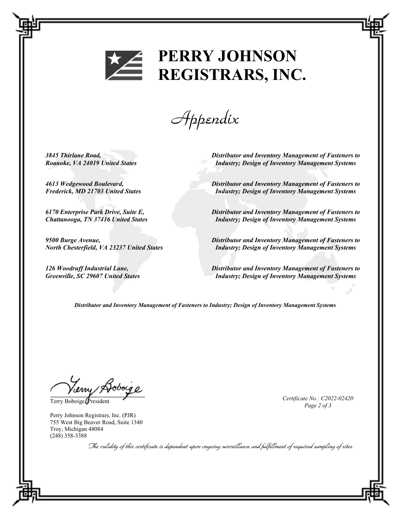

## **PERRY JOHNSON** REGISTRARS, INC.

Appendix

*3845 Thirlane Road, Roanoke, VA 24019 United States* 

*4613 Wedgewood Boulevard, Frederick, MD 21703 United States* 

*6170 Enterprise Park Drive, Suite E, Chattanooga, TN 37416 United States* 

*9500 Burge Avenue, North Chesterfield, VA 23237 United States* 

*126 Woodruff Industrial Lane, Greenville, SC 29607 United States*  *Distributor and Inventory Management of Fasteners to Industry; Design of Inventory Management Systems* 

*Distributor and Inventory Management of Fasteners to Industry; Design of Inventory Management Systems* 

*Distributor and Inventory Management of Fasteners to Industry; Design of Inventory Management Systems* 

*Distributor and Inventory Management of Fasteners to Industry; Design of Inventory Management Systems* 

*Distributor and Inventory Management of Fasteners to Industry; Design of Inventory Management Systems* 

*Distributor and Inventory Management of Fasteners to Industry; Design of Inventory Management Systems* 

Verry Boboige

Perry Johnson Registrars, Inc. (PJR) 755 West Big Beaver Road, Suite 1340 Troy, Michigan 48084 (248) 358-3388

Terry Boboige, President **Certificate No.: C2022-02420** *Certificate No.: C2022-02420 Page 2 of 3* 

The validity of this eertificate is dependent upon ongoing surveillance and fulfillment of required sampling of sites.